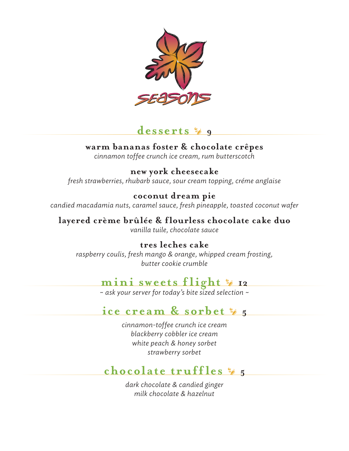

### desserts  $\frac{6}{9}$  9

### **warm bananas foster & chocolate crêpes**

*cinnamon toffee crunch ice cream, rum butterscotch*

### **new york cheesecake**

*fresh strawberries, rhubarb sauce, sour cream topping, créme anglaise*

#### **coconut dream pie**

*candied macadamia nuts, caramel sauce, fresh pineapple, toasted coconut wafer*

#### **layered crème brûlée & flourless chocolate cake duo** *vanilla tuile, chocolate sauce*

**tres leches cake** *raspberry coulis, fresh mango & orange, whipped cream frosting, butter cookie crumble*

# **mini sweets flight**  $*$  **12**

*~ ask your server for today's bite sized selection ~*

### **ice** cream & sorbet  $\frac{6}{2}$  5

*cinnamon-toffee crunch ice cream blackberry cobbler ice cream white peach & honey sorbet strawberry sorbet*

## **chocolate truffles**  $\frac{6}{5}$

*dark chocolate & candied ginger milk chocolate & hazelnut*